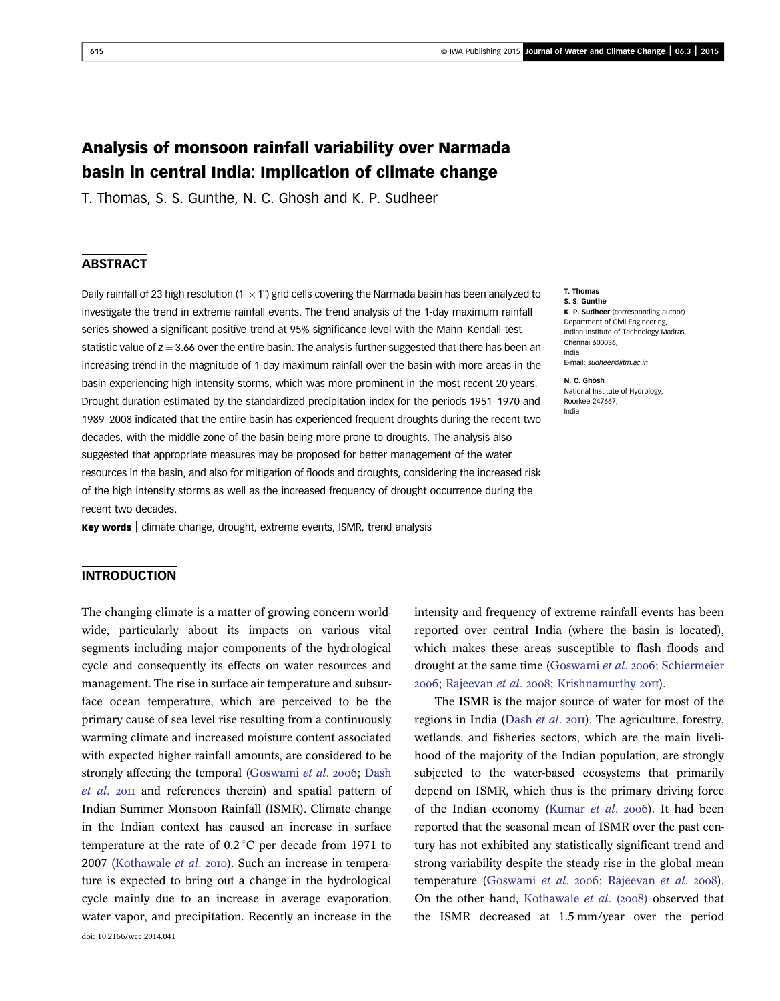# Analysis of monsoon rainfall variability over Narmada basin in central India: Implication of climate change

T. Thomas, S. S. Gunthe, N. C. Ghosh and K. P. Sudheer

## **ABSTRACT**

Daily rainfall of 23 high resolution (1° x 1°) grid cells covering the Narmada basin has been analyzed to investigate the trend in extreme rainfall events. The trend analysis of the 1-day maximum rainfall series showed a significant positive trend at 95% significance level with the Mann–Kendall test statistic value of  $z = 3.66$  over the entire basin. The analysis further suggested that there has been an increasing trend in the magnitude of 1-day maximum rainfall over the basin with more areas in the basin experiencing high intensity storms, which was more prominent in the most recent 20 years. Drought duration estimated by the standardized precipitation index for the periods 1951–1970 and 1989–2008 indicated that the entire basin has experienced frequent droughts during the recent two decades, with the middle zone of the basin being more prone to droughts. The analysis also suggested that appropriate measures may be proposed for better management of the water resources in the basin, and also for mitigation of floods and droughts, considering the increased risk of the high intensity storms as well as the increased frequency of drought occurrence during the recent two decades.

Key words | climate change, drought, extreme events, ISMR, trend analysis

## **INTRODUCTION**

The changing climate is a matter of growing concern worldwide, particularly about its impacts on various vital segments including major components of the hydrological cycle and consequently its effects on water resources and management. The rise in surface air temperature and subsurface ocean temperature, which are perceived to be the primary cause of sea level rise resulting from a continuously warming climate and increased moisture content associated with expected higher rainfall amounts, are considered to be strongly affecting the temporal (Goswami et al. 2006; Dash et al. and references therein) and spatial pattern of Indian Summer Monsoon Rainfall (ISMR). Climate change in the Indian context has caused an increase in surface temperature at the rate of  $0.2 \degree C$  per decade from 1971 to 2007 (Kothawale et al. 2010). Such an increase in temperature is expected to bring out a change in the hydrological cycle mainly due to an increase in average evaporation, water vapor, and precipitation. Recently an increase in the doi: 10.2166/wcc.2014.041

intensity and frequency of extreme rainfall events has been reported over central India (where the basin is located), which makes these areas susceptible to flash floods and drought at the same time (Goswami et al. 2006; Schiermeier  $2006$ ; Rajeevan et al.  $2008$ ; Krishnamurthy  $20\text{II}$ ).

The ISMR is the major source of water for most of the regions in India (Dash *et al.*  $20\text{H}$ ). The agriculture, forestry, wetlands, and fisheries sectors, which are the main livelihood of the majority of the Indian population, are strongly subjected to the water-based ecosystems that primarily depend on ISMR, which thus is the primary driving force of the Indian economy (Kumar et al. 2006). It had been reported that the seasonal mean of ISMR over the past century has not exhibited any statistically significant trend and strong variability despite the steady rise in the global mean temperature (Goswami et al. 2006; Rajeevan et al. 2008). On the other hand, Kothawale et al. (2008) observed that the ISMR decreased at 1.5 mm/year over the period

T. Thomas S. S. Gunthe

K. P. Sudheer (corresponding author) Department of Civil Engineering, Indian Institute of Technology Madras, Chennai 600036, India E-mail: sudheer@iitm.ac.in

N. C. Ghosh National Institute of Hydrology, Roorkee 247667, India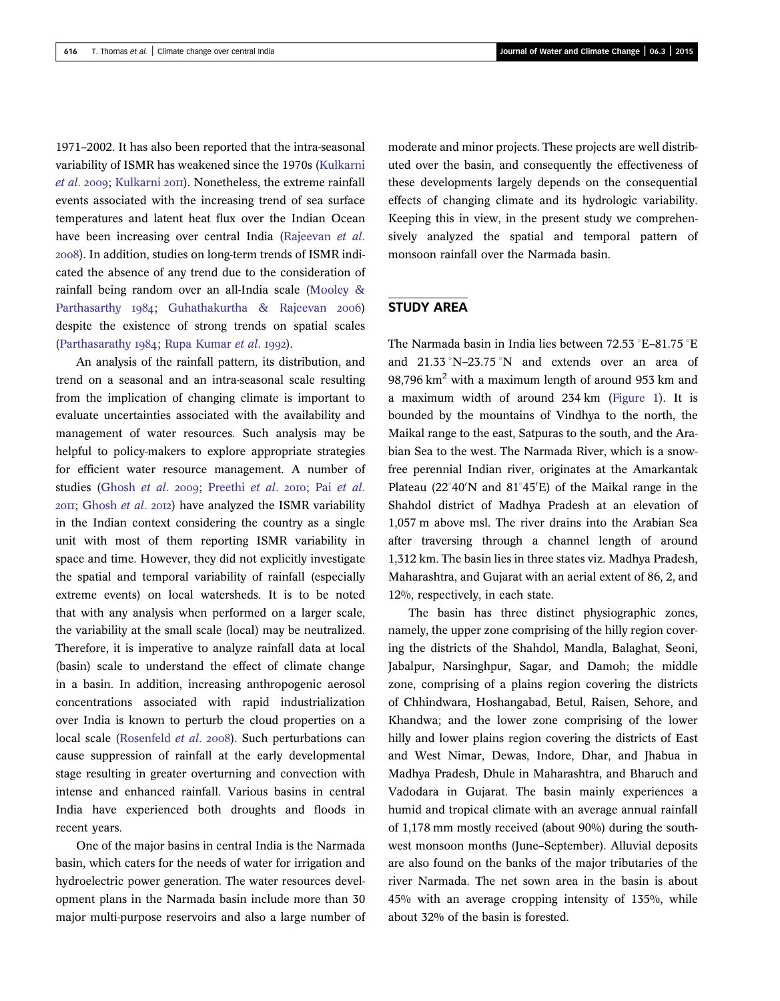1971–2002. It has also been reported that the intra-seasonal variability of ISMR has weakened since the 1970s (Kulkarni  $et$  al. 2009; Kulkarni 2011). Nonetheless, the extreme rainfall events associated with the increasing trend of sea surface temperatures and latent heat flux over the Indian Ocean have been increasing over central India (Rajeevan et al. ). In addition, studies on long-term trends of ISMR indicated the absence of any trend due to the consideration of rainfall being random over an all-India scale (Mooley & Parthasarthy 1984; Guhathakurtha & Rajeevan 2006) despite the existence of strong trends on spatial scales (Parthasarathy  $1984$ ; Rupa Kumar et al. 1992).

An analysis of the rainfall pattern, its distribution, and trend on a seasonal and an intra-seasonal scale resulting from the implication of changing climate is important to evaluate uncertainties associated with the availability and management of water resources. Such analysis may be helpful to policy-makers to explore appropriate strategies for efficient water resource management. A number of studies (Ghosh et al. 2009; Preethi et al. 2010; Pai et al.  $20II$ ; Ghosh et al.  $20I2$ ) have analyzed the ISMR variability in the Indian context considering the country as a single unit with most of them reporting ISMR variability in space and time. However, they did not explicitly investigate the spatial and temporal variability of rainfall (especially extreme events) on local watersheds. It is to be noted that with any analysis when performed on a larger scale, the variability at the small scale (local) may be neutralized. Therefore, it is imperative to analyze rainfall data at local (basin) scale to understand the effect of climate change in a basin. In addition, increasing anthropogenic aerosol concentrations associated with rapid industrialization over India is known to perturb the cloud properties on a local scale (Rosenfeld et al. 2008). Such perturbations can cause suppression of rainfall at the early developmental stage resulting in greater overturning and convection with intense and enhanced rainfall. Various basins in central India have experienced both droughts and floods in recent years.

One of the major basins in central India is the Narmada basin, which caters for the needs of water for irrigation and hydroelectric power generation. The water resources development plans in the Narmada basin include more than 30 major multi-purpose reservoirs and also a large number of moderate and minor projects. These projects are well distributed over the basin, and consequently the effectiveness of these developments largely depends on the consequential effects of changing climate and its hydrologic variability. Keeping this in view, in the present study we comprehensively analyzed the spatial and temporal pattern of monsoon rainfall over the Narmada basin.

## STUDY AREA

The Narmada basin in India lies between  $72.53$   $\degree$ E-81.75  $\degree$ E and  $21.33 \text{°N} - 23.75 \text{°N}$  and extends over an area of 98,796 km<sup>2</sup> with a maximum length of around 953 km and a maximum width of around 234 km (Figure 1). It is bounded by the mountains of Vindhya to the north, the Maikal range to the east, Satpuras to the south, and the Arabian Sea to the west. The Narmada River, which is a snowfree perennial Indian river, originates at the Amarkantak Plateau (22°40'N and 81°45'E) of the Maikal range in the Shahdol district of Madhya Pradesh at an elevation of 1,057 m above msl. The river drains into the Arabian Sea after traversing through a channel length of around 1,312 km. The basin lies in three states viz. Madhya Pradesh, Maharashtra, and Gujarat with an aerial extent of 86, 2, and 12%, respectively, in each state.

The basin has three distinct physiographic zones, namely, the upper zone comprising of the hilly region covering the districts of the Shahdol, Mandla, Balaghat, Seoni, Jabalpur, Narsinghpur, Sagar, and Damoh; the middle zone, comprising of a plains region covering the districts of Chhindwara, Hoshangabad, Betul, Raisen, Sehore, and Khandwa; and the lower zone comprising of the lower hilly and lower plains region covering the districts of East and West Nimar, Dewas, Indore, Dhar, and Jhabua in Madhya Pradesh, Dhule in Maharashtra, and Bharuch and Vadodara in Gujarat. The basin mainly experiences a humid and tropical climate with an average annual rainfall of 1,178 mm mostly received (about 90%) during the southwest monsoon months (June–September). Alluvial deposits are also found on the banks of the major tributaries of the river Narmada. The net sown area in the basin is about 45% with an average cropping intensity of 135%, while about 32% of the basin is forested.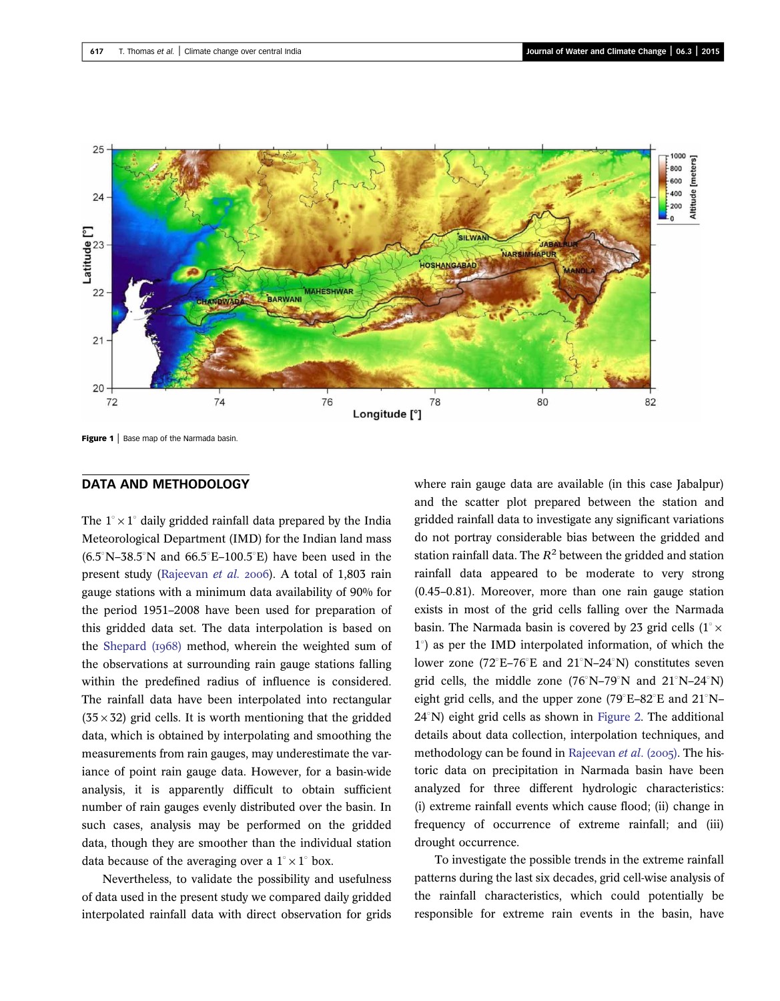

**Figure 1** | Base map of the Narmada basin.

## DATA AND METHODOLOGY

The  $1^\circ \times 1^\circ$  daily gridded rainfall data prepared by the India Meteorological Department (IMD) for the Indian land mass  $(6.5^\circ N - 38.5^\circ N$  and  $66.5^\circ E - 100.5^\circ E$ ) have been used in the present study (Rajeevan et al. 2006). A total of 1,803 rain gauge stations with a minimum data availability of 90% for the period 1951–2008 have been used for preparation of this gridded data set. The data interpolation is based on the Shepard  $(1968)$  method, wherein the weighted sum of the observations at surrounding rain gauge stations falling within the predefined radius of influence is considered. The rainfall data have been interpolated into rectangular  $(35 \times 32)$  grid cells. It is worth mentioning that the gridded data, which is obtained by interpolating and smoothing the measurements from rain gauges, may underestimate the variance of point rain gauge data. However, for a basin-wide analysis, it is apparently difficult to obtain sufficient number of rain gauges evenly distributed over the basin. In such cases, analysis may be performed on the gridded data, though they are smoother than the individual station data because of the averaging over a  $1^\circ \times 1^\circ$  box.

Nevertheless, to validate the possibility and usefulness of data used in the present study we compared daily gridded interpolated rainfall data with direct observation for grids where rain gauge data are available (in this case Jabalpur) and the scatter plot prepared between the station and gridded rainfall data to investigate any significant variations do not portray considerable bias between the gridded and station rainfall data. The  $R^2$  between the gridded and station rainfall data appeared to be moderate to very strong (0.45–0.81). Moreover, more than one rain gauge station exists in most of the grid cells falling over the Narmada basin. The Narmada basin is covered by 23 grid cells ( $1^\circ \times$ 1°) as per the IMD interpolated information, of which the lower zone ( $72^{\circ}E - 76^{\circ}E$  and  $21^{\circ}N - 24^{\circ}N$ ) constitutes seven grid cells, the middle zone  $(76°N-79°N$  and  $21°N-24°N)$ eight grid cells, and the upper zone (79°E-82°E and 21°N- $24°N$ ) eight grid cells as shown in Figure 2. The additional details about data collection, interpolation techniques, and methodology can be found in Rajeevan *et al.* (2005). The historic data on precipitation in Narmada basin have been analyzed for three different hydrologic characteristics: (i) extreme rainfall events which cause flood; (ii) change in frequency of occurrence of extreme rainfall; and (iii) drought occurrence.

To investigate the possible trends in the extreme rainfall patterns during the last six decades, grid cell-wise analysis of the rainfall characteristics, which could potentially be responsible for extreme rain events in the basin, have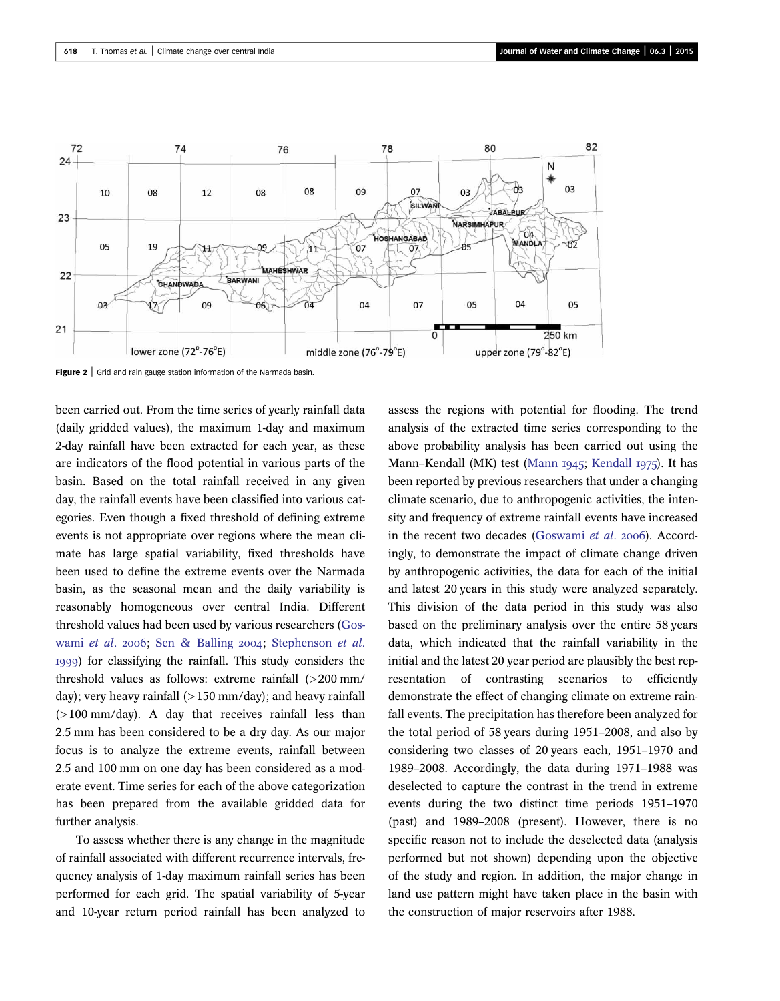

Figure 2 | Grid and rain gauge station information of the Narmada basin

been carried out. From the time series of yearly rainfall data (daily gridded values), the maximum 1-day and maximum 2-day rainfall have been extracted for each year, as these are indicators of the flood potential in various parts of the basin. Based on the total rainfall received in any given day, the rainfall events have been classified into various categories. Even though a fixed threshold of defining extreme events is not appropriate over regions where the mean climate has large spatial variability, fixed thresholds have been used to define the extreme events over the Narmada basin, as the seasonal mean and the daily variability is reasonably homogeneous over central India. Different threshold values had been used by various researchers (Goswami et al. 2006; Sen & Balling 2004; Stephenson et al. ) for classifying the rainfall. This study considers the threshold values as follows: extreme rainfall (>200 mm/ day); very heavy rainfall  $(>150$  mm/day); and heavy rainfall  $(>100 \text{ mm/day})$ . A day that receives rainfall less than 2.5 mm has been considered to be a dry day. As our major focus is to analyze the extreme events, rainfall between 2.5 and 100 mm on one day has been considered as a moderate event. Time series for each of the above categorization has been prepared from the available gridded data for further analysis.

To assess whether there is any change in the magnitude of rainfall associated with different recurrence intervals, frequency analysis of 1-day maximum rainfall series has been performed for each grid. The spatial variability of 5-year and 10-year return period rainfall has been analyzed to assess the regions with potential for flooding. The trend analysis of the extracted time series corresponding to the above probability analysis has been carried out using the Mann–Kendall (MK) test (Mann 1945; Kendall 1975). It has been reported by previous researchers that under a changing climate scenario, due to anthropogenic activities, the intensity and frequency of extreme rainfall events have increased in the recent two decades (Goswami et al. 2006). Accordingly, to demonstrate the impact of climate change driven by anthropogenic activities, the data for each of the initial and latest 20 years in this study were analyzed separately. This division of the data period in this study was also based on the preliminary analysis over the entire 58 years data, which indicated that the rainfall variability in the initial and the latest 20 year period are plausibly the best representation of contrasting scenarios to efficiently demonstrate the effect of changing climate on extreme rainfall events. The precipitation has therefore been analyzed for the total period of 58 years during 1951–2008, and also by considering two classes of 20 years each, 1951–1970 and 1989–2008. Accordingly, the data during 1971–1988 was deselected to capture the contrast in the trend in extreme events during the two distinct time periods 1951–1970 (past) and 1989–2008 (present). However, there is no specific reason not to include the deselected data (analysis performed but not shown) depending upon the objective of the study and region. In addition, the major change in land use pattern might have taken place in the basin with the construction of major reservoirs after 1988.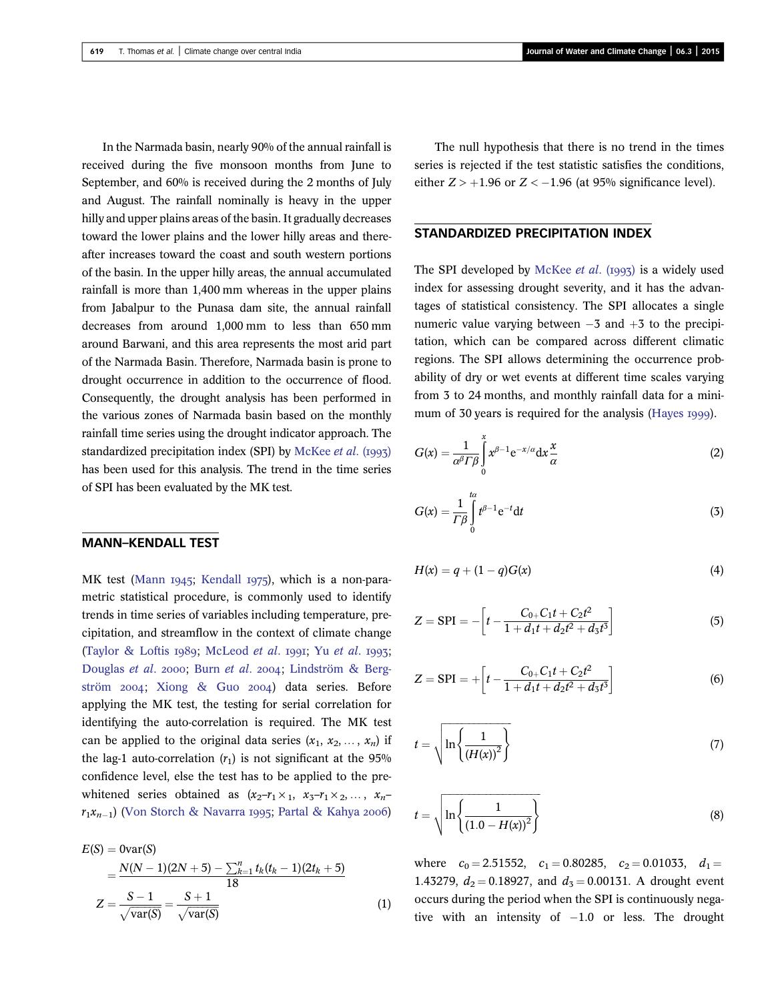In the Narmada basin, nearly 90% of the annual rainfall is received during the five monsoon months from June to September, and 60% is received during the 2 months of July and August. The rainfall nominally is heavy in the upper hilly and upper plains areas of the basin. It gradually decreases toward the lower plains and the lower hilly areas and thereafter increases toward the coast and south western portions of the basin. In the upper hilly areas, the annual accumulated rainfall is more than 1,400 mm whereas in the upper plains from Jabalpur to the Punasa dam site, the annual rainfall decreases from around 1,000 mm to less than 650 mm around Barwani, and this area represents the most arid part of the Narmada Basin. Therefore, Narmada basin is prone to drought occurrence in addition to the occurrence of flood. Consequently, the drought analysis has been performed in the various zones of Narmada basin based on the monthly rainfall time series using the drought indicator approach. The standardized precipitation index (SPI) by McKee et al. (1993) has been used for this analysis. The trend in the time series of SPI has been evaluated by the MK test.

#### MANN–KENDALL TEST

MK test (Mann 1945; Kendall 1975), which is a non-parametric statistical procedure, is commonly used to identify trends in time series of variables including temperature, precipitation, and streamflow in the context of climate change (Taylor & Loftis 1989; McLeod et al. 1991; Yu et al. 1993; Douglas et al. 2000; Burn et al. 2004; Lindström & Bergström 2004; Xiong & Guo 2004) data series. Before applying the MK test, the testing for serial correlation for identifying the auto-correlation is required. The MK test can be applied to the original data series  $(x_1, x_2, \ldots, x_n)$  if the lag-1 auto-correlation  $(r_1)$  is not significant at the 95% confidence level, else the test has to be applied to the prewhitened series obtained as  $(x_2-r_1 \times 1, x_3-r_1 \times 2, ..., x_n$ –  $r_1x_{n-1}$ ) (Von Storch & Navarra 1995; Partal & Kahya 2006)

$$
E(S) = 0 \text{var}(S)
$$
  
= 
$$
\frac{N(N-1)(2N+5) - \sum_{k=1}^{n} t_k(t_k-1)(2t_k+5)}{18}
$$
  

$$
Z = \frac{S-1}{\sqrt{\text{var}(S)}} = \frac{S+1}{\sqrt{\text{var}(S)}}
$$
 (1)

The null hypothesis that there is no trend in the times series is rejected if the test statistic satisfies the conditions, either  $Z > +1.96$  or  $Z < -1.96$  (at 95% significance level).

#### STANDARDIZED PRECIPITATION INDEX

The SPI developed by McKee *et al.* ( $1993$ ) is a widely used index for assessing drought severity, and it has the advantages of statistical consistency. The SPI allocates a single numeric value varying between  $-3$  and  $+3$  to the precipitation, which can be compared across different climatic regions. The SPI allows determining the occurrence probability of dry or wet events at different time scales varying from 3 to 24 months, and monthly rainfall data for a minimum of 30 years is required for the analysis  $(Haves I999)$ .

$$
G(x) = \frac{1}{\alpha^{\beta} \Gamma \beta} \int_{0}^{x} x^{\beta - 1} e^{-x/\alpha} dx \frac{x}{\alpha}
$$
 (2)

$$
G(x) = \frac{1}{\Gamma \beta} \int_{0}^{t\alpha} t^{\beta - 1} e^{-t} dt
$$
 (3)

$$
H(x) = q + (1 - q)G(x)
$$
 (4)

$$
Z = \text{SPI} = -\left[t - \frac{C_{0+}C_1t + C_2t^2}{1 + d_1t + d_2t^2 + d_3t^3}\right]
$$
(5)

$$
Z = SPI = + \left[ t - \frac{C_{0+}C_1t + C_2t^2}{1 + d_1t + d_2t^2 + d_3t^3} \right]
$$
(6)

$$
t = \sqrt{\ln\left\{\frac{1}{\left(H(x)\right)^2}\right\}}\tag{7}
$$

$$
t = \sqrt{\ln\left\{\frac{1}{\left(1.0 - H(x)\right)^2}\right\}}\tag{8}
$$

where  $c_0 = 2.51552$ ,  $c_1 = 0.80285$ ,  $c_2 = 0.01033$ ,  $d_1 =$ 1.43279,  $d_2 = 0.18927$ , and  $d_3 = 0.00131$ . A drought event occurs during the period when the SPI is continuously negative with an intensity of  $-1.0$  or less. The drought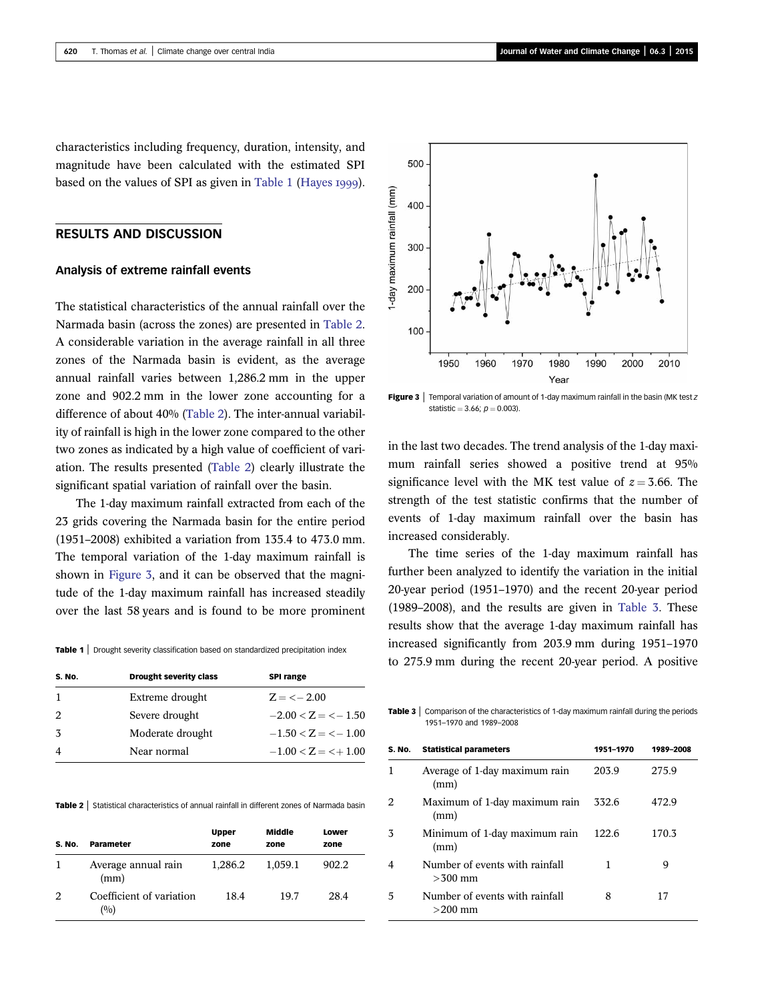characteristics including frequency, duration, intensity, and magnitude have been calculated with the estimated SPI based on the values of SPI as given in Table 1 (Hayes 1999).

## RESULTS AND DISCUSSION

#### Analysis of extreme rainfall events

The statistical characteristics of the annual rainfall over the Narmada basin (across the zones) are presented in Table 2. A considerable variation in the average rainfall in all three zones of the Narmada basin is evident, as the average annual rainfall varies between 1,286.2 mm in the upper zone and 902.2 mm in the lower zone accounting for a difference of about 40% (Table 2). The inter-annual variability of rainfall is high in the lower zone compared to the other two zones as indicated by a high value of coefficient of variation. The results presented (Table 2) clearly illustrate the significant spatial variation of rainfall over the basin.

The 1-day maximum rainfall extracted from each of the 23 grids covering the Narmada basin for the entire period (1951–2008) exhibited a variation from 135.4 to 473.0 mm. The temporal variation of the 1-day maximum rainfall is shown in Figure 3, and it can be observed that the magnitude of the 1-day maximum rainfall has increased steadily over the last 58 years and is found to be more prominent

Table 1 | Drought severity classification based on standardized precipitation index

| S. No. | <b>Drought severity class</b> | <b>SPI range</b>      |
|--------|-------------------------------|-----------------------|
|        | Extreme drought               | $Z = \leq -2.00$      |
|        | Severe drought                | $-2.00 < Z = < -1.50$ |
| 3      | Moderate drought              | $-1.50 < Z = -1.00$   |
|        | Near normal                   | $-1.00 < Z = < +1.00$ |

Table 2 | Statistical characteristics of annual rainfall in different zones of Narmada basin

| <b>S. No.</b> | <b>Parameter</b>                  | <b>Upper</b><br>zone | Middle<br>zone | Lower<br>zone |
|---------------|-----------------------------------|----------------------|----------------|---------------|
|               | Average annual rain<br>(mm)       | 1,286.2              | 1,059.1        | 902.2         |
| 2             | Coefficient of variation<br>(0/0) | 18.4                 | 19.7           | 28.4          |



Figure 3  $\vert$  Temporal variation of amount of 1-day maximum rainfall in the basin (MK test z statistic =  $3.66$ ;  $p = 0.003$ ).

in the last two decades. The trend analysis of the 1-day maximum rainfall series showed a positive trend at 95% significance level with the MK test value of  $z = 3.66$ . The strength of the test statistic confirms that the number of events of 1-day maximum rainfall over the basin has increased considerably.

The time series of the 1-day maximum rainfall has further been analyzed to identify the variation in the initial 20-year period (1951–1970) and the recent 20-year period (1989–2008), and the results are given in Table 3. These results show that the average 1-day maximum rainfall has increased significantly from 203.9 mm during 1951–1970 to 275.9 mm during the recent 20-year period. A positive

Table 3 | Comparison of the characteristics of 1-day maximum rainfall during the periods 1951–1970 and 1989–2008

| S. No. | <b>Statistical parameters</b>               | 1951-1970 | 1989–2008 |
|--------|---------------------------------------------|-----------|-----------|
| 1      | Average of 1-day maximum rain<br>(mm)       | 203.9     | 275.9     |
| 2      | Maximum of 1-day maximum rain<br>(mm)       | 332.6     | 472.9     |
| 3      | Minimum of 1-day maximum rain<br>(mm)       | 122.6     | 170.3     |
| 4      | Number of events with rainfall<br>$>300$ mm | 1         | g         |
| 5      | Number of events with rainfall<br>$>200$ mm | 8         | 17        |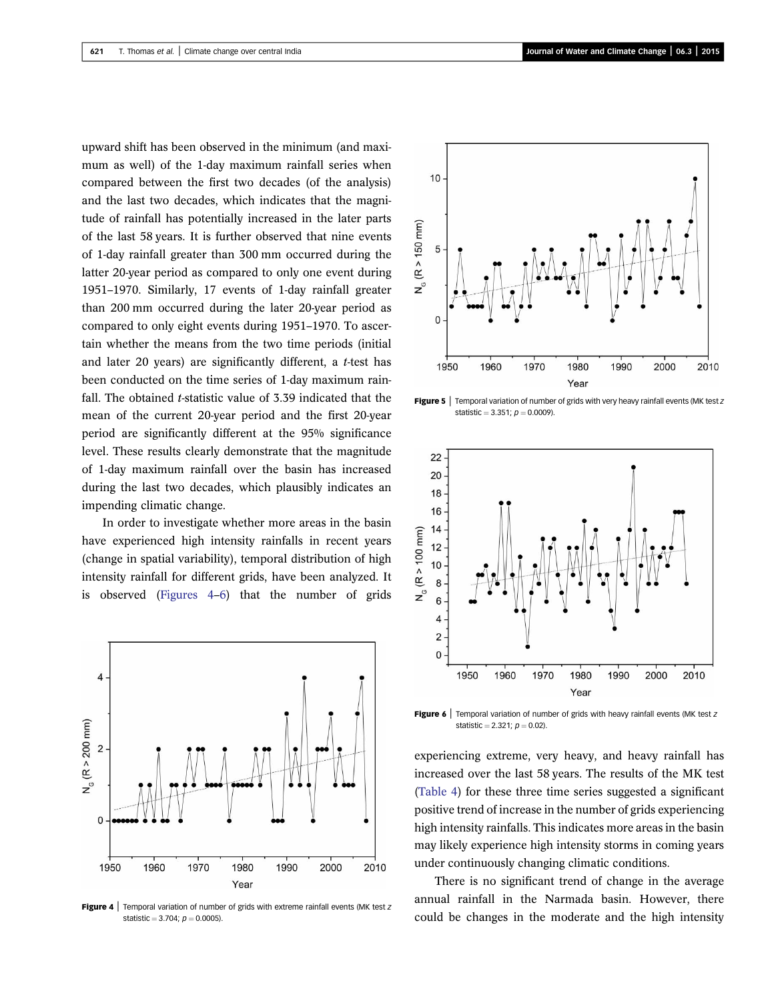upward shift has been observed in the minimum (and maximum as well) of the 1-day maximum rainfall series when compared between the first two decades (of the analysis) and the last two decades, which indicates that the magnitude of rainfall has potentially increased in the later parts of the last 58 years. It is further observed that nine events of 1-day rainfall greater than 300 mm occurred during the latter 20-year period as compared to only one event during 1951–1970. Similarly, 17 events of 1-day rainfall greater than 200 mm occurred during the later 20-year period as compared to only eight events during 1951–1970. To ascertain whether the means from the two time periods (initial and later 20 years) are significantly different, a  $t$ -test has been conducted on the time series of 1-day maximum rainfall. The obtained  $t$ -statistic value of 3.39 indicated that the mean of the current 20-year period and the first 20-year period are significantly different at the 95% significance level. These results clearly demonstrate that the magnitude of 1-day maximum rainfall over the basin has increased during the last two decades, which plausibly indicates an impending climatic change.

In order to investigate whether more areas in the basin have experienced high intensity rainfalls in recent years (change in spatial variability), temporal distribution of high intensity rainfall for different grids, have been analyzed. It is observed (Figures 4–6) that the number of grids



Figure 4 | Temporal variation of number of grids with extreme rainfall events (MK test  $z$ statistic = 3.704;  $p = 0.0005$ ).



Figure 5  $\vert$  Temporal variation of number of grids with very heavy rainfall events (MK test  $z$ statistic =  $3.351$ ; p = 0.0009).



Figure 6 | Temporal variation of number of grids with heavy rainfall events (MK test  $z$ statistic = 2.321;  $p = 0.02$ ).

experiencing extreme, very heavy, and heavy rainfall has increased over the last 58 years. The results of the MK test (Table 4) for these three time series suggested a significant positive trend of increase in the number of grids experiencing high intensity rainfalls. This indicates more areas in the basin may likely experience high intensity storms in coming years under continuously changing climatic conditions.

There is no significant trend of change in the average annual rainfall in the Narmada basin. However, there could be changes in the moderate and the high intensity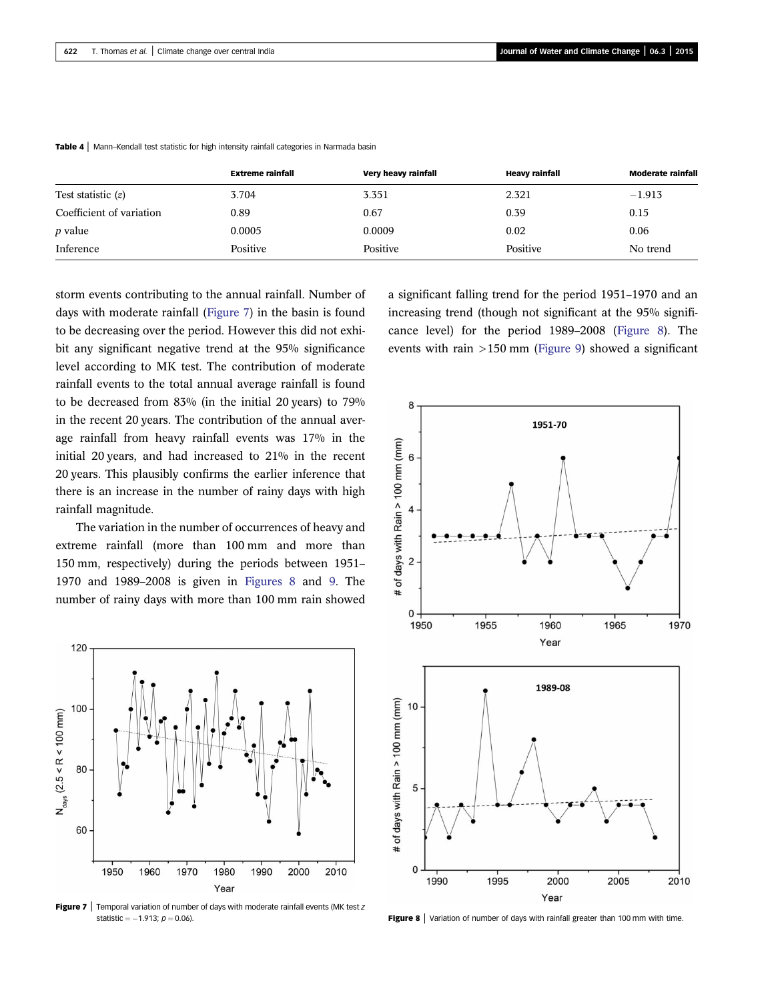|                          | <b>Extreme rainfall</b> | Very heavy rainfall | <b>Heavy rainfall</b> | <b>Moderate rainfall</b> |
|--------------------------|-------------------------|---------------------|-----------------------|--------------------------|
| Test statistic $(z)$     | 3.704                   | 3.351               | 2.321                 | $-1.913$                 |
| Coefficient of variation | 0.89                    | 0.67                | 0.39                  | 0.15                     |
| p value                  | 0.0005                  | 0.0009              | 0.02                  | 0.06                     |
| Inference                | Positive                | Positive            | Positive              | No trend                 |

Table 4 | Mann-Kendall test statistic for high intensity rainfall categories in Narmada basin

storm events contributing to the annual rainfall. Number of days with moderate rainfall (Figure 7) in the basin is found to be decreasing over the period. However this did not exhibit any significant negative trend at the 95% significance level according to MK test. The contribution of moderate rainfall events to the total annual average rainfall is found to be decreased from 83% (in the initial 20 years) to 79% in the recent 20 years. The contribution of the annual average rainfall from heavy rainfall events was 17% in the initial 20 years, and had increased to 21% in the recent 20 years. This plausibly confirms the earlier inference that there is an increase in the number of rainy days with high rainfall magnitude.

The variation in the number of occurrences of heavy and extreme rainfall (more than 100 mm and more than 150 mm, respectively) during the periods between 1951– 1970 and 1989–2008 is given in Figures 8 and 9. The number of rainy days with more than 100 mm rain showed



**Figure 7** Temporal variation of number of days with moderate rainfall events (MK test  $z$ statistic =  $-1.913$ ;  $p = 0.06$ ).

a significant falling trend for the period 1951–1970 and an increasing trend (though not significant at the 95% significance level) for the period 1989–2008 (Figure 8). The events with rain >150 mm (Figure 9) showed a significant



Figure 8 | Variation of number of days with rainfall greater than 100 mm with time.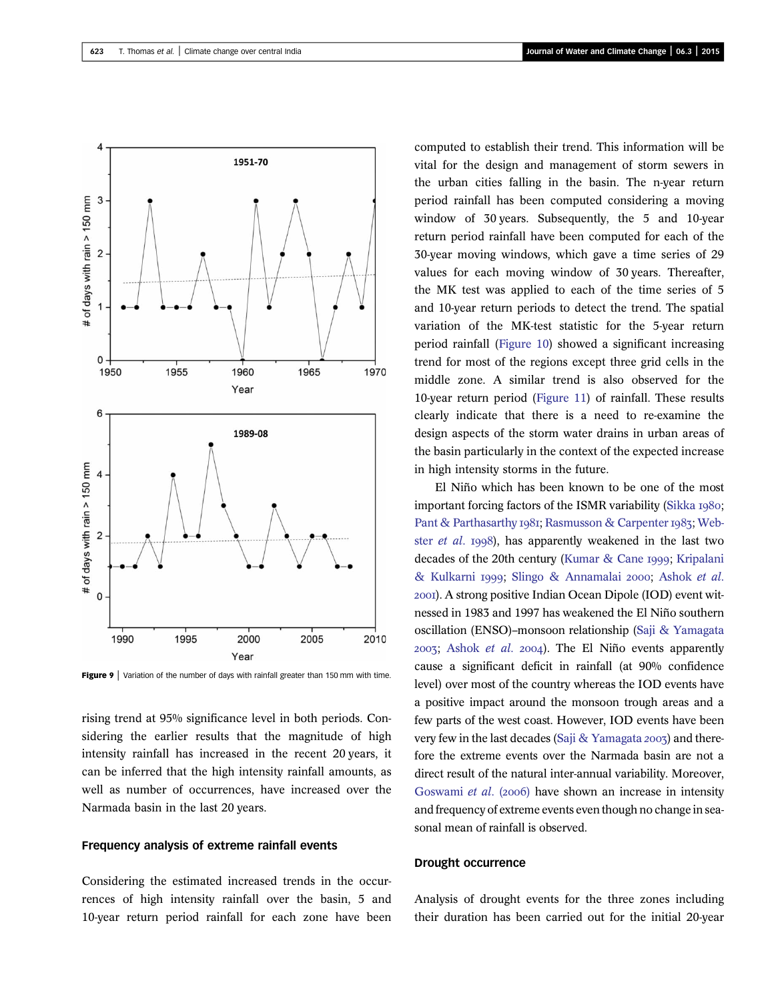

Figure 9 | Variation of the number of days with rainfall greater than 150 mm with time.

rising trend at 95% significance level in both periods. Considering the earlier results that the magnitude of high intensity rainfall has increased in the recent 20 years, it can be inferred that the high intensity rainfall amounts, as well as number of occurrences, have increased over the Narmada basin in the last 20 years.

#### Frequency analysis of extreme rainfall events

Considering the estimated increased trends in the occurrences of high intensity rainfall over the basin, 5 and 10-year return period rainfall for each zone have been

computed to establish their trend. This information will be vital for the design and management of storm sewers in the urban cities falling in the basin. The n-year return period rainfall has been computed considering a moving window of 30 years. Subsequently, the 5 and 10-year return period rainfall have been computed for each of the 30-year moving windows, which gave a time series of 29 values for each moving window of 30 years. Thereafter, the MK test was applied to each of the time series of 5 and 10-year return periods to detect the trend. The spatial variation of the MK-test statistic for the 5-year return period rainfall (Figure 10) showed a significant increasing trend for most of the regions except three grid cells in the middle zone. A similar trend is also observed for the 10-year return period (Figure 11) of rainfall. These results clearly indicate that there is a need to re-examine the design aspects of the storm water drains in urban areas of the basin particularly in the context of the expected increase in high intensity storms in the future.

El Niño which has been known to be one of the most important forcing factors of the ISMR variability (Sikka 1980; Pant & Parthasarthy 1981; Rasmusson & Carpenter 1983; Webster *et al.* 1998), has apparently weakened in the last two decades of the 20th century (Kumar & Cane 1999; Kripalani & Kulkarni 1999; Slingo & Annamalai 2000; Ashok et al. ). A strong positive Indian Ocean Dipole (IOD) event witnessed in 1983 and 1997 has weakened the El Niño southern oscillation (ENSO)–monsoon relationship (Saji & Yamagata  $2003$ ; Ashok *et al.*  $2004$ ). The El Niño events apparently cause a significant deficit in rainfall (at 90% confidence level) over most of the country whereas the IOD events have a positive impact around the monsoon trough areas and a few parts of the west coast. However, IOD events have been very few in the last decades (Saji & Yamagata 2003) and therefore the extreme events over the Narmada basin are not a direct result of the natural inter-annual variability. Moreover, Goswami et al. (2006) have shown an increase in intensity and frequency of extreme events even though no change in seasonal mean of rainfall is observed.

#### Drought occurrence

Analysis of drought events for the three zones including their duration has been carried out for the initial 20-year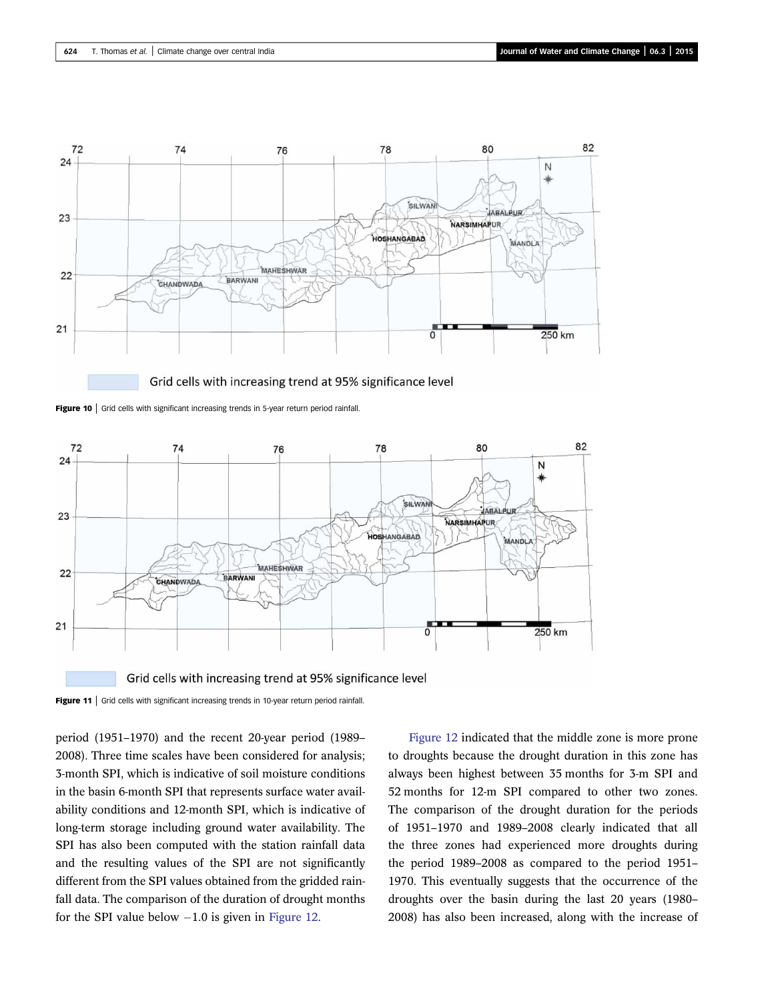

Figure 10 | Grid cells with significant increasing trends in 5-year return period rainfall.



Grid cells with increasing trend at 95% significance level

Figure 11 | Grid cells with significant increasing trends in 10-year return period rainfall.

period (1951–1970) and the recent 20-year period (1989– 2008). Three time scales have been considered for analysis; 3-month SPI, which is indicative of soil moisture conditions in the basin 6-month SPI that represents surface water availability conditions and 12-month SPI, which is indicative of long-term storage including ground water availability. The SPI has also been computed with the station rainfall data and the resulting values of the SPI are not significantly different from the SPI values obtained from the gridded rainfall data. The comparison of the duration of drought months for the SPI value below  $-1.0$  is given in Figure 12.

Figure 12 indicated that the middle zone is more prone to droughts because the drought duration in this zone has always been highest between 35 months for 3-m SPI and 52 months for 12-m SPI compared to other two zones. The comparison of the drought duration for the periods of 1951–1970 and 1989–2008 clearly indicated that all the three zones had experienced more droughts during the period 1989–2008 as compared to the period 1951– 1970. This eventually suggests that the occurrence of the droughts over the basin during the last 20 years (1980– 2008) has also been increased, along with the increase of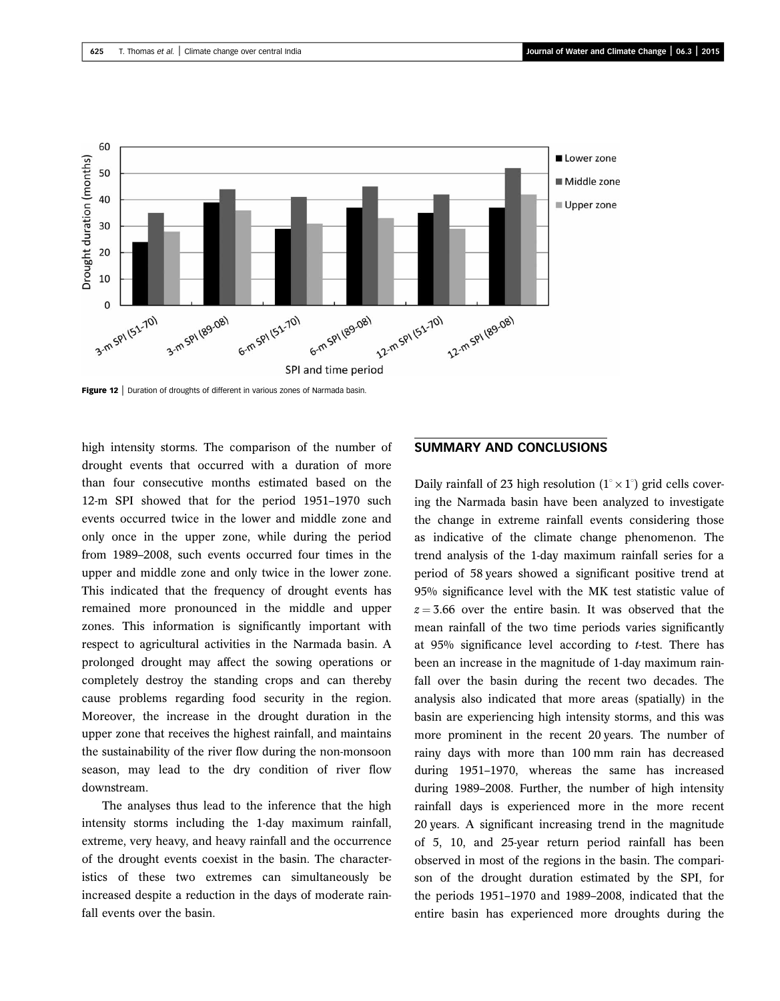

Figure 12 | Duration of droughts of different in various zones of Narmada basin.

high intensity storms. The comparison of the number of drought events that occurred with a duration of more than four consecutive months estimated based on the 12-m SPI showed that for the period 1951–1970 such events occurred twice in the lower and middle zone and only once in the upper zone, while during the period from 1989–2008, such events occurred four times in the upper and middle zone and only twice in the lower zone. This indicated that the frequency of drought events has remained more pronounced in the middle and upper zones. This information is significantly important with respect to agricultural activities in the Narmada basin. A prolonged drought may affect the sowing operations or completely destroy the standing crops and can thereby cause problems regarding food security in the region. Moreover, the increase in the drought duration in the upper zone that receives the highest rainfall, and maintains the sustainability of the river flow during the non-monsoon season, may lead to the dry condition of river flow downstream.

The analyses thus lead to the inference that the high intensity storms including the 1-day maximum rainfall, extreme, very heavy, and heavy rainfall and the occurrence of the drought events coexist in the basin. The characteristics of these two extremes can simultaneously be increased despite a reduction in the days of moderate rainfall events over the basin.

## SUMMARY AND CONCLUSIONS

Daily rainfall of 23 high resolution  $(1^{\circ} \times 1^{\circ})$  grid cells covering the Narmada basin have been analyzed to investigate the change in extreme rainfall events considering those as indicative of the climate change phenomenon. The trend analysis of the 1-day maximum rainfall series for a period of 58 years showed a significant positive trend at 95% significance level with the MK test statistic value of  $z = 3.66$  over the entire basin. It was observed that the mean rainfall of the two time periods varies significantly at 95% significance level according to  $t$ -test. There has been an increase in the magnitude of 1-day maximum rainfall over the basin during the recent two decades. The analysis also indicated that more areas (spatially) in the basin are experiencing high intensity storms, and this was more prominent in the recent 20 years. The number of rainy days with more than 100 mm rain has decreased during 1951–1970, whereas the same has increased during 1989–2008. Further, the number of high intensity rainfall days is experienced more in the more recent 20 years. A significant increasing trend in the magnitude of 5, 10, and 25-year return period rainfall has been observed in most of the regions in the basin. The comparison of the drought duration estimated by the SPI, for the periods 1951–1970 and 1989–2008, indicated that the entire basin has experienced more droughts during the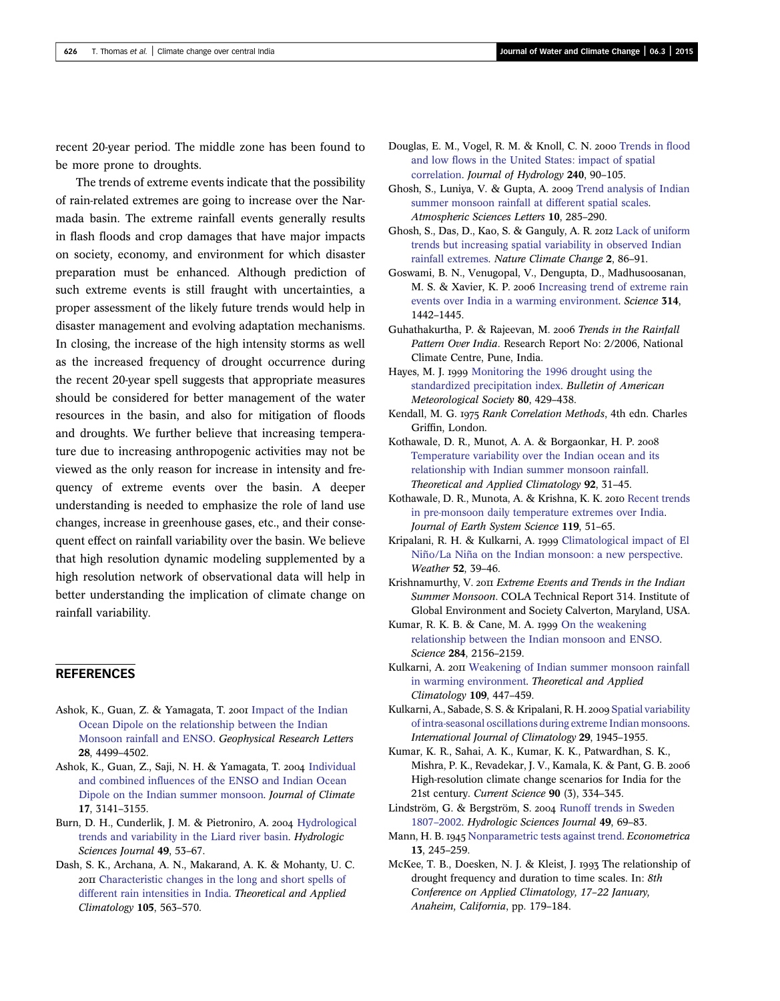recent 20-year period. The middle zone has been found to be more prone to droughts.

The trends of extreme events indicate that the possibility of rain-related extremes are going to increase over the Narmada basin. The extreme rainfall events generally results in flash floods and crop damages that have major impacts on society, economy, and environment for which disaster preparation must be enhanced. Although prediction of such extreme events is still fraught with uncertainties, a proper assessment of the likely future trends would help in disaster management and evolving adaptation mechanisms. In closing, the increase of the high intensity storms as well as the increased frequency of drought occurrence during the recent 20-year spell suggests that appropriate measures should be considered for better management of the water resources in the basin, and also for mitigation of floods and droughts. We further believe that increasing temperature due to increasing anthropogenic activities may not be viewed as the only reason for increase in intensity and frequency of extreme events over the basin. A deeper understanding is needed to emphasize the role of land use changes, increase in greenhouse gases, etc., and their consequent effect on rainfall variability over the basin. We believe that high resolution dynamic modeling supplemented by a high resolution network of observational data will help in better understanding the implication of climate change on rainfall variability.

## **REFERENCES**

- Ashok, K., Guan, Z. & Yamagata, T. 2001 Impact of the Indian Ocean Dipole on the relationship between the Indian Monsoon rainfall and ENSO. Geophysical Research Letters 28, 4499–4502.
- Ashok, K., Guan, Z., Saji, N. H. & Yamagata, T. 2004 Individual and combined influences of the ENSO and Indian Ocean Dipole on the Indian summer monsoon. Journal of Climate 17, 3141–3155.
- Burn, D. H., Cunderlik, J. M. & Pietroniro, A. 2004 Hydrological trends and variability in the Liard river basin. Hydrologic Sciences Journal 49, 53–67.
- Dash, S. K., Archana, A. N., Makarand, A. K. & Mohanty, U. C. Characteristic changes in the long and short spells of different rain intensities in India. Theoretical and Applied Climatology 105, 563–570.
- Douglas, E. M., Vogel, R. M. & Knoll, C. N. 2000 Trends in flood and low flows in the United States: impact of spatial correlation. Journal of Hydrology 240, 90–105.
- Ghosh, S., Luniya, V. & Gupta, A. 2009 Trend analysis of Indian summer monsoon rainfall at different spatial scales. Atmospheric Sciences Letters 10, 285–290.
- Ghosh, S., Das, D., Kao, S. & Ganguly, A. R. 2012 Lack of uniform trends but increasing spatial variability in observed Indian rainfall extremes. Nature Climate Change 2, 86–91.
- Goswami, B. N., Venugopal, V., Dengupta, D., Madhusoosanan, M. S. & Xavier, K. P. 2006 Increasing trend of extreme rain events over India in a warming environment. Science 314, 1442–1445.
- Guhathakurtha, P. & Rajeevan, M. 2006 Trends in the Rainfall Pattern Over India. Research Report No: 2/2006, National Climate Centre, Pune, India.
- Hayes, M. J. 1999 Monitoring the 1996 drought using the standardized precipitation index. Bulletin of American Meteorological Society 80, 429–438.
- Kendall, M. G. 1975 Rank Correlation Methods, 4th edn. Charles Griffin, London.
- Kothawale, D. R., Munot, A. A. & Borgaonkar, H. P. Temperature variability over the Indian ocean and its relationship with Indian summer monsoon rainfall. Theoretical and Applied Climatology 92, 31–45.
- Kothawale, D. R., Munota, A. & Krishna, K. K. 2010 Recent trends in pre-monsoon daily temperature extremes over India. Journal of Earth System Science 119, 51–65.
- Kripalani, R. H. & Kulkarni, A. 1999 Climatological impact of El Niño/La Niña on the Indian monsoon: a new perspective. Weather 52, 39–46.
- Krishnamurthy, V. 2011 Extreme Events and Trends in the Indian Summer Monsoon. COLA Technical Report 314. Institute of Global Environment and Society Calverton, Maryland, USA.
- Kumar, R. K. B. & Cane, M. A. 1999 On the weakening relationship between the Indian monsoon and ENSO. Science 284, 2156–2159.
- Kulkarni, A. 2011 Weakening of Indian summer monsoon rainfall in warming environment. Theoretical and Applied Climatology 109, 447–459.
- Kulkarni, A., Sabade, S. S. & Kripalani, R. H. 2009 Spatial variability of intra-seasonal oscillations during extreme Indian monsoons. International Journal of Climatology 29, 1945–1955.
- Kumar, K. R., Sahai, A. K., Kumar, K. K., Patwardhan, S. K., Mishra, P. K., Revadekar, J. V., Kamala, K. & Pant, G. B. High-resolution climate change scenarios for India for the 21st century. Current Science 90 (3), 334–345.
- Lindström, G. & Bergström, S. 2004 Runoff trends in Sweden 1807–2002. Hydrologic Sciences Journal 49, 69–83.
- Mann, H. B. 1945 Nonparametric tests against trend. Econometrica 13, 245–259.
- McKee, T. B., Doesken, N. J. & Kleist, J. 1993 The relationship of drought frequency and duration to time scales. In: 8th Conference on Applied Climatology, 17–22 January, Anaheim, California, pp. 179–184.